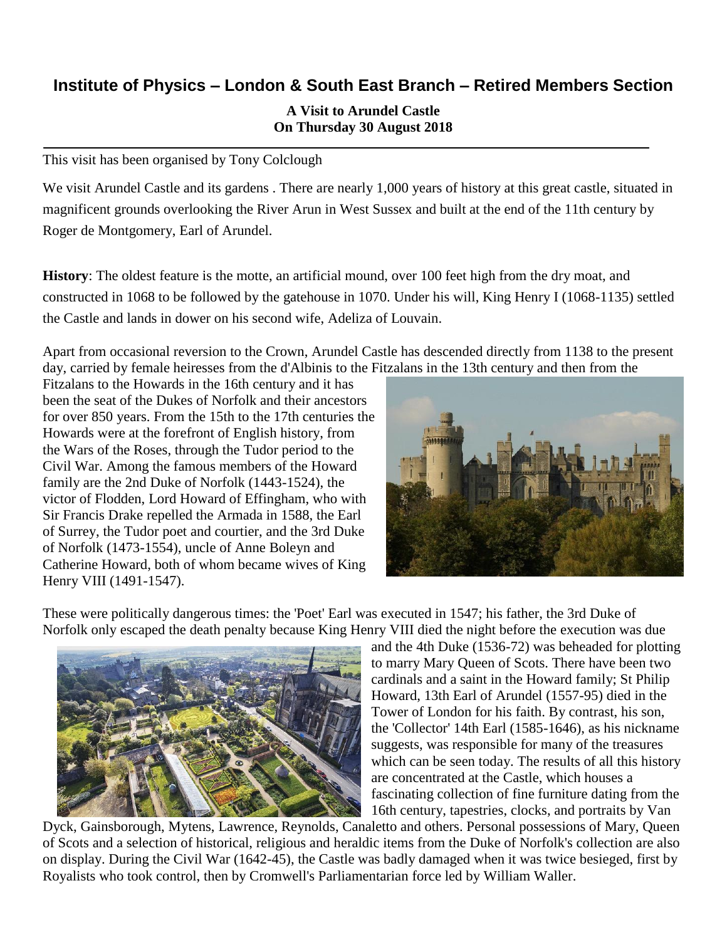# **Institute of Physics – London & South East Branch – Retired Members Section**

### **A Visit to Arundel Castle On Thursday 30 August 2018**

This visit has been organised by Tony Colclough

We visit Arundel Castle and its gardens. There are nearly 1,000 years of history at this great castle, situated in magnificent grounds overlooking the River Arun in West Sussex and built at the end of the 11th century by Roger de Montgomery, Earl of Arundel.

**History**: The oldest feature is the motte, an artificial mound, over 100 feet high from the dry moat, and constructed in 1068 to be followed by the gatehouse in 1070. Under his will, King Henry I (1068-1135) settled the Castle and lands in dower on his second wife, Adeliza of Louvain.

Apart from occasional reversion to the Crown, Arundel Castle has descended directly from 1138 to the present day, carried by female heiresses from the d'Albinis to the Fitzalans in the 13th century and then from the

Fitzalans to the Howards in the 16th century and it has been the seat of the Dukes of Norfolk and their ancestors for over 850 years. From the 15th to the 17th centuries the Howards were at the forefront of English history, from the Wars of the Roses, through the Tudor period to the Civil War. Among the famous members of the Howard family are the 2nd Duke of Norfolk (1443-1524), the victor of Flodden, Lord Howard of Effingham, who with Sir Francis Drake repelled the Armada in 1588, the Earl of Surrey, the Tudor poet and courtier, and the 3rd Duke of Norfolk (1473-1554), uncle of Anne Boleyn and Catherine Howard, both of whom became wives of King Henry VIII (1491-1547).



These were politically dangerous times: the 'Poet' Earl was executed in 1547; his father, the 3rd Duke of Norfolk only escaped the death penalty because King Henry VIII died the night before the execution was due



and the 4th Duke (1536-72) was beheaded for plotting to marry Mary Queen of Scots. There have been two cardinals and a saint in the Howard family; St Philip Howard, 13th Earl of Arundel (1557-95) died in the Tower of London for his faith. By contrast, his son, the 'Collector' 14th Earl (1585-1646), as his nickname suggests, was responsible for many of the treasures which can be seen today. The results of all this history are concentrated at the Castle, which houses a fascinating collection of fine furniture dating from the 16th century, tapestries, clocks, and portraits by Van

Dyck, Gainsborough, Mytens, Lawrence, Reynolds, Canaletto and others. Personal possessions of Mary, Queen of Scots and a selection of historical, religious and heraldic items from the Duke of Norfolk's collection are also on display. During the Civil War (1642-45), the Castle was badly damaged when it was twice besieged, first by Royalists who took control, then by Cromwell's Parliamentarian force led by William Waller.